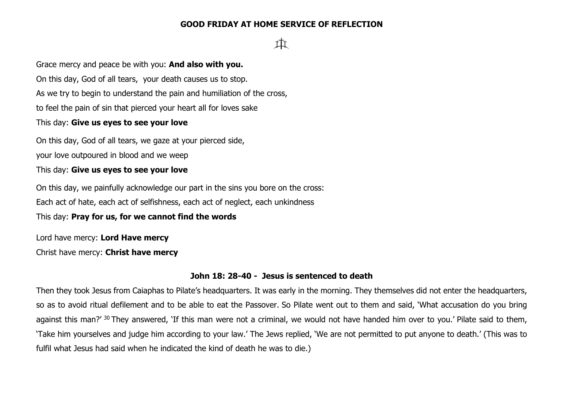## **GOOD FRIDAY AT HOME SERVICE OF REFLECTION**

# tİt

Grace mercy and peace be with you: **And also with you.** On this day, God of all tears, your death causes us to stop. As we try to begin to understand the pain and humiliation of the cross, to feel the pain of sin that pierced your heart all for loves sake This day: **Give us eyes to see your love**

On this day, God of all tears, we gaze at your pierced side, your love outpoured in blood and we weep

This day: **Give us eyes to see your love**

On this day, we painfully acknowledge our part in the sins you bore on the cross: Each act of hate, each act of selfishness, each act of neglect, each unkindness

This day: **Pray for us, for we cannot find the words**

Lord have mercy: **Lord Have mercy**

Christ have mercy: **Christ have mercy**

## **John 18: 28-40 - Jesus is sentenced to death**

Then they took Jesus from Caiaphas to Pilate's headquarters. It was early in the morning. They themselves did not enter the headquarters, so as to avoid ritual defilement and to be able to eat the Passover. So Pilate went out to them and said, 'What accusation do you bring against this man?' <sup>30</sup> They answered, 'If this man were not a criminal, we would not have handed him over to you.' Pilate said to them, 'Take him yourselves and judge him according to your law.' The Jews replied, 'We are not permitted to put anyone to death.' (This was to fulfil what Jesus had said when he indicated the kind of death he was to die.)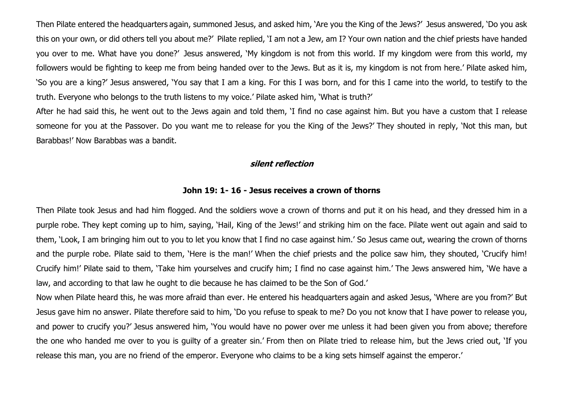Then Pilate entered the headquarters again, summoned Jesus, and asked him, 'Are you the King of the Jews?' Jesus answered, 'Do you ask this on your own, or did others tell you about me?' Pilate replied, 'I am not a Jew, am I? Your own nation and the chief priests have handed you over to me. What have you done?' Jesus answered, 'My kingdom is not from this world. If my kingdom were from this world, my followers would be fighting to keep me from being handed over to the Jews. But as it is, my kingdom is not from here.' Pilate asked him, 'So you are a king?' Jesus answered, 'You say that I am a king. For this I was born, and for this I came into the world, to testify to the truth. Everyone who belongs to the truth listens to my voice.' Pilate asked him, 'What is truth?'

After he had said this, he went out to the Jews again and told them, 'I find no case against him. But you have a custom that I release someone for you at the Passover. Do you want me to release for you the King of the Jews?' They shouted in reply, 'Not this man, but Barabbas!' Now Barabbas was a bandit.

#### **silent reflection**

#### **John 19: 1- 16 - Jesus receives a crown of thorns**

Then Pilate took Jesus and had him flogged. And the soldiers wove a crown of thorns and put it on his head, and they dressed him in a purple robe. They kept coming up to him, saying, 'Hail, King of the Jews!' and striking him on the face. Pilate went out again and said to them, 'Look, I am bringing him out to you to let you know that I find no case against him.' So Jesus came out, wearing the crown of thorns and the purple robe. Pilate said to them, 'Here is the man!' When the chief priests and the police saw him, they shouted, 'Crucify him! Crucify him!' Pilate said to them, 'Take him yourselves and crucify him; I find no case against him.' The Jews answered him, 'We have a law, and according to that law he ought to die because he has claimed to be the Son of God.'

Now when Pilate heard this, he was more afraid than ever. He entered his headquarters again and asked Jesus, 'Where are you from?' But Jesus gave him no answer. Pilate therefore said to him, 'Do you refuse to speak to me? Do you not know that I have power to release you, and power to crucify you?' Jesus answered him, 'You would have no power over me unless it had been given you from above; therefore the one who handed me over to you is guilty of a greater sin.' From then on Pilate tried to release him, but the Jews cried out, 'If you release this man, you are no friend of the emperor. Everyone who claims to be a king sets himself against the emperor.'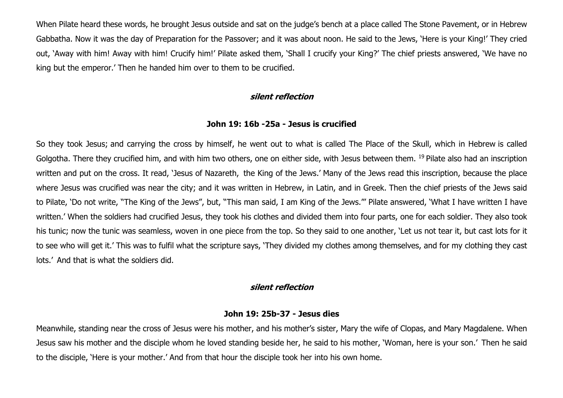When Pilate heard these words, he brought Jesus outside and sat on the judge's bench at a place called The Stone Pavement, or in Hebrew Gabbatha. Now it was the day of Preparation for the Passover; and it was about noon. He said to the Jews, 'Here is your King!' They cried out, 'Away with him! Away with him! Crucify him!' Pilate asked them, 'Shall I crucify your King?' The chief priests answered, 'We have no king but the emperor.' Then he handed him over to them to be crucified.

#### **silent reflection**

## **John 19: 16b -25a - Jesus is crucified**

So they took Jesus; and carrying the cross by himself, he went out to what is called The Place of the Skull, which in Hebrew is called Golgotha. There they crucified him, and with him two others, one on either side, with Jesus between them. <sup>19</sup> Pilate also had an inscription written and put on the cross. It read, 'Jesus of Nazareth, the King of the Jews.' Many of the Jews read this inscription, because the place where Jesus was crucified was near the city; and it was written in Hebrew, in Latin, and in Greek. Then the chief priests of the Jews said to Pilate, 'Do not write, "The King of the Jews", but, "This man said, I am King of the Jews."' Pilate answered, 'What I have written I have written.' When the soldiers had crucified Jesus, they took his clothes and divided them into four parts, one for each soldier. They also took his tunic; now the tunic was seamless, woven in one piece from the top. So they said to one another, 'Let us not tear it, but cast lots for it to see who will get it.' This was to fulfil what the scripture says, 'They divided my clothes among themselves, and for my clothing they cast lots.' And that is what the soldiers did.

## **silent reflection**

#### **John 19: 25b-37 - Jesus dies**

Meanwhile, standing near the cross of Jesus were his mother, and his mother's sister, Mary the wife of Clopas, and Mary Magdalene. When Jesus saw his mother and the disciple whom he loved standing beside her, he said to his mother, 'Woman, here is your son.' Then he said to the disciple, 'Here is your mother.' And from that hour the disciple took her into his own home.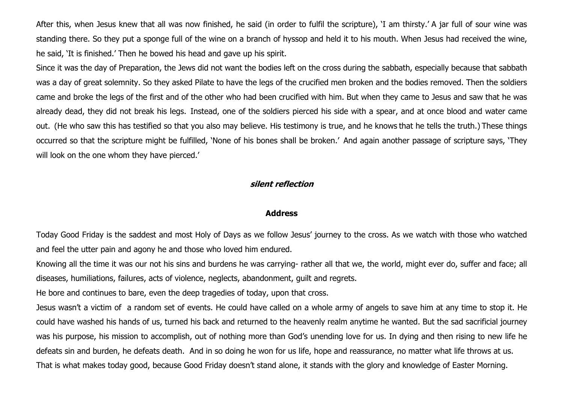After this, when Jesus knew that all was now finished, he said (in order to fulfil the scripture), 'I am thirsty.' A jar full of sour wine was standing there. So they put a sponge full of the wine on a branch of hyssop and held it to his mouth. When Jesus had received the wine, he said, 'It is finished.' Then he bowed his head and gave up his spirit.

Since it was the day of Preparation, the Jews did not want the bodies left on the cross during the sabbath, especially because that sabbath was a day of great solemnity. So they asked Pilate to have the legs of the crucified men broken and the bodies removed. Then the soldiers came and broke the legs of the first and of the other who had been crucified with him. But when they came to Jesus and saw that he was already dead, they did not break his legs. Instead, one of the soldiers pierced his side with a spear, and at once blood and water came out. (He who saw this has testified so that you also may believe. His testimony is true, and he knows that he tells the truth.) These things occurred so that the scripture might be fulfilled, 'None of his bones shall be broken.' And again another passage of scripture says, 'They will look on the one whom they have pierced.'

## **silent reflection**

#### **Address**

Today Good Friday is the saddest and most Holy of Days as we follow Jesus' journey to the cross. As we watch with those who watched and feel the utter pain and agony he and those who loved him endured.

Knowing all the time it was our not his sins and burdens he was carrying- rather all that we, the world, might ever do, suffer and face; all diseases, humiliations, failures, acts of violence, neglects, abandonment, guilt and regrets.

He bore and continues to bare, even the deep tragedies of today, upon that cross.

Jesus wasn't a victim of a random set of events. He could have called on a whole army of angels to save him at any time to stop it. He could have washed his hands of us, turned his back and returned to the heavenly realm anytime he wanted. But the sad sacrificial journey was his purpose, his mission to accomplish, out of nothing more than God's unending love for us. In dying and then rising to new life he defeats sin and burden, he defeats death. And in so doing he won for us life, hope and reassurance, no matter what life throws at us. That is what makes today good, because Good Friday doesn't stand alone, it stands with the glory and knowledge of Easter Morning.